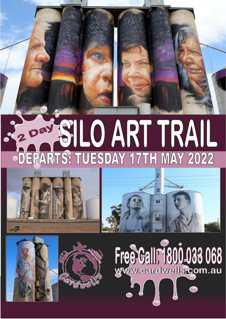# S200 SILO ART TRAIL -DEPARTS: TUESDAY 17TH MAY 2022





Free Call: 1800-033 068



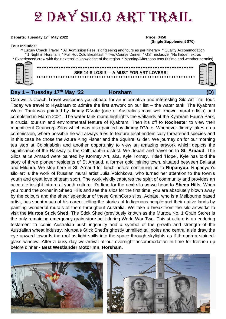## 2 Day SILO ART TRAIL

## **Departs: Tuesday 17<sup>th</sup> May 2022 Price: \$450**

## **Tour Includes:**

## **(Single Supplement \$70)**

\* Luxury Coach Travel \* All Admission Fees, sightseeing and tours as per itinerary \* Quality Accommodation \* 1 Night in Horsham \* Full Hot/Cold Breakfast \* Two Course Dinner \* GST inclusive \*No hidden extras \* Experienced crew with their extensive knowledge of the region \* Morning/Afternoon teas (if time and weather permits)



## **SEE 14 SILOS!!!! – A MUST FOR ART LOVERS!**

## **Day 1 – Tuesday 17th May '22 Horsham (D)**

Cardwell's Coach Travel welcomes you aboard for an informative and interesting Silo Art Trail tour. Today we travel to **Kyabram** to admire the first artwork on our list – the water tank. The Kyabram Water Tank was painted by Jimmy D'Vate (one of Australia's most well known mural artists) and completed in March 2021. The water tank mural highlights the wetlands at the Kyabram Fauna Park, a crucial tourism and environmental feature of Kyabram. Then it's off to **Rochester** to view their magnificent Graincorp Silos which was also painted by Jimmy D'Vate. Whenever Jimmy takes on a commission, where possible he will always tries to feature local endemically threatened species and in this case he chose the Azure King Fisher and the Squirrel Glider. We journey on for our morning tea stop at Colbinabbin and another opportunity to view an amazing artwork which depicts the significance of the Railway to the Colbinabbin district. We depart and travel on to **St. Arnaud**. The Silos at St Arnaud were painted by Ktorney Art, aka, Kyle Torney. Titled 'Hope', Kyle has told the story of three pioneer residents of St Arnaud, a former gold mining town, situated between Ballarat and Mildura. We stop here in St. Arnaud for lunch before continuing on to **Rupanyup**. Rupanyup's silo art is the work of Russian mural artist Julia Volchkova, who turned her attention to the town's youth and great love of team sport. The work vividly captures the spirit of community and provides an accurate insight into rural youth culture. It's time for the next silo as we head to **Sheep Hills**. When you round the corner in Sheep Hills and see the silos for the first time, you are absolutely blown away by the colours and the sheer splendour of these GrainCorp silos. Adnate, who is a Melbourne based artist, has spent much of his career telling the stories of Indigenous people and their native lands by painting wonderful murals of them throughout Australia. We take a break from the silo artworks to visit the **Murtoa Stick Shed**. The Stick Shed (previously known as the Murtoa No. 1 Grain Store) is the only remaining emergency grain store built during World War Two. This structure is an enduring testament to iconic Australian bush ingenuity and a symbol of the growth and strength of the Australian wheat industry. Murtoa's Stick Shed's ghostly unmilled tall poles and central aisle draw the eye upward towards the roof as light spills into the space through skylights as if through a stainedglass window. After a busy day we arrival at our overnight accommodation in time for freshen up before dinner **- Best Westlander Motor Inn, Horsham.**



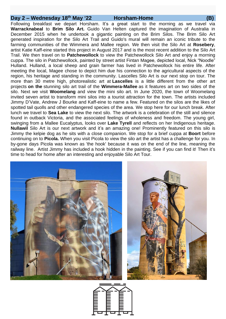## **Day 2 – Wednesday 18th May '22 Horsham-Home (B)**

Following breakfast we depart Horsham. It's a great start to the morning as we travel via **Warracknabeal** to **Brim Silo Art.** Guido Van Helten captured the imagination of Australia in December 2015 when he undertook a gigantic painting on the Brim Silos. The Brim Silo Art generated inspiration for the Silo Art Trail and Guido's mural will remain an iconic tribute to the farming communities of the Wimmera and Mallee region. We then visit the Silo Art at **Rosebery**, artist Katie Kaff-eine started this project in August 2017 and is the most recent addition to the Silo Art Trail. We then travel on to **Patchewollock** to view the Patchewollock Silo Art and enjoy a morning cuppa. The silo in Patchewollock, painted by street artist Fintan Magee, depicted local, Nick "Noodle" Hulland. Hulland, a local sheep and grain farmer has lived in Patchewollock his entire life. After meeting the local, Magee chose to depict him due his connection to the agricultural aspects of the region, his heritage and standing in the community. Lascelles Silo Art is our next stop on tour. The more than 30 metre high, photorealistic art at **Lascelles** is a little different from the other art projects **on the** [stunning silo art trail](http://wp.me/p20HXf-2tw) of the **Wimmera-Mallee** as it features art on two sides of the silo. Next we visit **Woomelang** and view the mini silo art. In June 2020, the town of Woomelang invited seven artist to transform mini silos into a tourist attraction for the town. The artists included Jimmy D'Vate, Andrew J Bourke and Kaff-eine to name a few. Featured on the silos are the likes of spotted tail quolls and other endangered species of the area. We stop here for our lunch break. After lunch we travel to **Sea Lake** to view the next silo. The artwork is a celebration of the still and silence found in outback Victoria, and the associated feelings of wholeness and freedom. The young girl, swinging from a Mallee Eucalyptus, looks over **Lake Tyrell** and reflects on her Indigenous heritage. **Nullawil** Silo Art is our next artwork and it's an amazing one! Prominently featured on this silo is Jimmy the kelpie dog as he sits with a close companion. We stop for a brief cuppa at **Boort** before continuing on to **Picola.** When you visit Picola to view the silo art the artist has a challenge for you. In by-gone days Picola was known as 'the hook' because it was on the end of the line, meaning the railway line. Artist Jimmy has included a hook hidden in the painting. See if you can find it! Then it's time to head for home after an interesting and enjoyable Silo Art Tour.